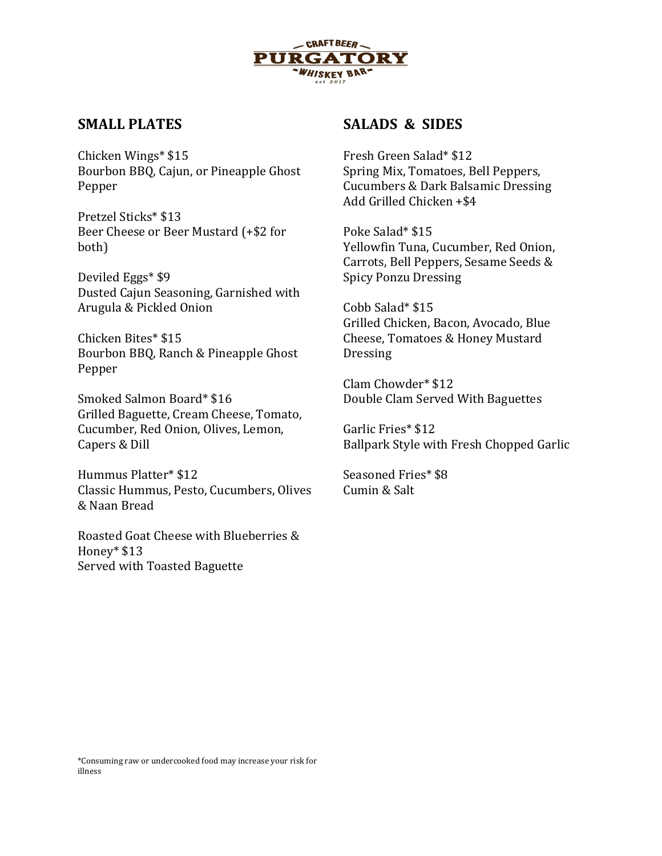

# SMALL PLATES

Chicken Wings\* \$15 Bourbon BBQ, Cajun, or Pineapple Ghost Pepper

Pretzel Sticks\* \$13 Beer Cheese or Beer Mustard (+\$2 for both)

Deviled Eggs\* \$9 Dusted Cajun Seasoning, Garnished with Arugula & Pickled Onion

Chicken Bites\* \$15 Bourbon BBQ, Ranch & Pineapple Ghost Pepper

Smoked Salmon Board\* \$16 Grilled Baguette, Cream Cheese, Tomato, Cucumber, Red Onion, Olives, Lemon, Capers & Dill

Hummus Platter\* \$12 Classic Hummus, Pesto, Cucumbers, Olives & Naan Bread

Roasted Goat Cheese with Blueberries & Honey\* \$13 Served with Toasted Baguette

# SALADS & SIDES

Fresh Green Salad\* \$12 Spring Mix, Tomatoes, Bell Peppers, Cucumbers & Dark Balsamic Dressing Add Grilled Chicken +\$4

Poke Salad\* \$15 Yellowfin Tuna, Cucumber, Red Onion, Carrots, Bell Peppers, Sesame Seeds & Spicy Ponzu Dressing

Cobb Salad\* \$15 Grilled Chicken, Bacon, Avocado, Blue Cheese, Tomatoes & Honey Mustard Dressing

Clam Chowder\* \$12 Double Clam Served With Baguettes

Garlic Fries\* \$12 Ballpark Style with Fresh Chopped Garlic

Seasoned Fries\* \$8 Cumin & Salt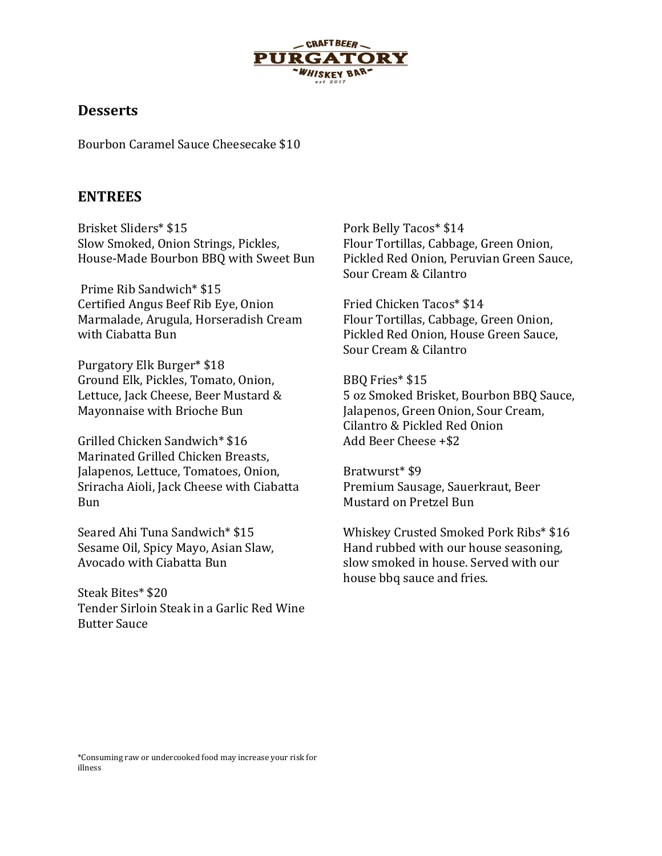

# **Desserts**

Bourbon Caramel Sauce Cheesecake \$10

## ENTREES

Brisket Sliders\* \$15 Slow Smoked, Onion Strings, Pickles, House-Made Bourbon BBQ with Sweet Bun

 Prime Rib Sandwich\* \$15 Certified Angus Beef Rib Eye, Onion Marmalade, Arugula, Horseradish Cream with Ciabatta Bun

Purgatory Elk Burger\* \$18 Ground Elk, Pickles, Tomato, Onion, Lettuce, Jack Cheese, Beer Mustard & Mayonnaise with Brioche Bun

Grilled Chicken Sandwich\* \$16 Marinated Grilled Chicken Breasts, Jalapenos, Lettuce, Tomatoes, Onion, Sriracha Aioli, Jack Cheese with Ciabatta Bun

Seared Ahi Tuna Sandwich\* \$15 Sesame Oil, Spicy Mayo, Asian Slaw, Avocado with Ciabatta Bun

Steak Bites\* \$20 Tender Sirloin Steak in a Garlic Red Wine Butter Sauce

Pork Belly Tacos\* \$14 Flour Tortillas, Cabbage, Green Onion, Pickled Red Onion, Peruvian Green Sauce, Sour Cream & Cilantro

Fried Chicken Tacos\* \$14 Flour Tortillas, Cabbage, Green Onion, Pickled Red Onion, House Green Sauce, Sour Cream & Cilantro

BBQ Fries\* \$15 5 oz Smoked Brisket, Bourbon BBQ Sauce, Jalapenos, Green Onion, Sour Cream, Cilantro & Pickled Red Onion Add Beer Cheese +\$2

Bratwurst\* \$9 Premium Sausage, Sauerkraut, Beer Mustard on Pretzel Bun

Whiskey Crusted Smoked Pork Ribs\* \$16 Hand rubbed with our house seasoning, slow smoked in house. Served with our house bbq sauce and fries.

\*Consuming raw or undercooked food may increase your risk for illness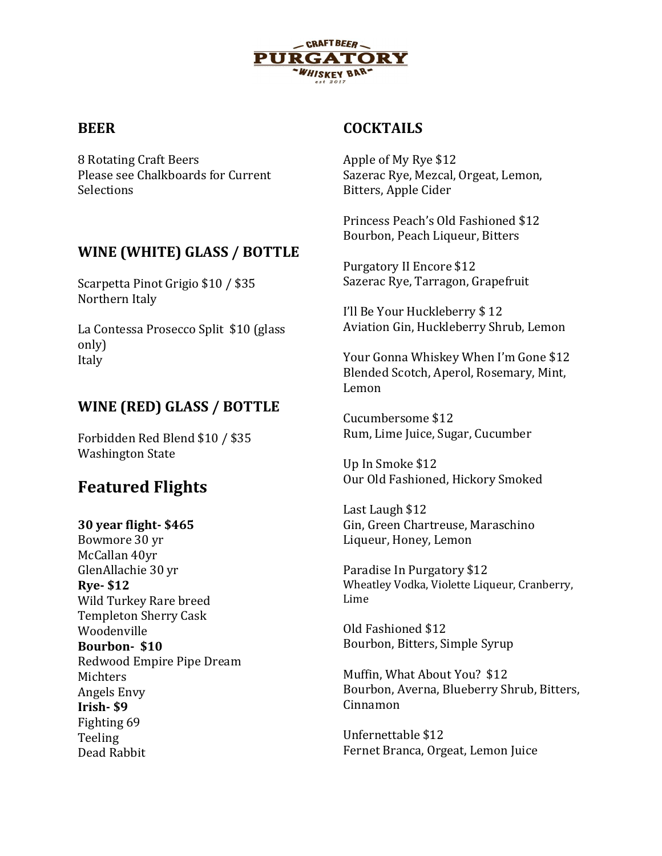

# **BEER**

8 Rotating Craft Beers Please see Chalkboards for Current Selections

# WINE (WHITE) GLASS / BOTTLE

Scarpetta Pinot Grigio \$10 / \$35 Northern Italy

La Contessa Prosecco Split \$10 (glass only) Italy

# WINE (RED) GLASS / BOTTLE

Forbidden Red Blend \$10 / \$35 Washington State

# Featured Flights

## 30 year flight- \$465

Bowmore 30 yr McCallan 40yr GlenAllachie 30 yr Rye- \$12 Wild Turkey Rare breed Templeton Sherry Cask Woodenville Bourbon- \$10 Redwood Empire Pipe Dream Michters Angels Envy Irish- \$9 Fighting 69 Teeling Dead Rabbit

# COCKTAILS

Apple of My Rye \$12 Sazerac Rye, Mezcal, Orgeat, Lemon, Bitters, Apple Cider

Princess Peach's Old Fashioned \$12 Bourbon, Peach Liqueur, Bitters

Purgatory II Encore \$12 Sazerac Rye, Tarragon, Grapefruit

I'll Be Your Huckleberry \$ 12 Aviation Gin, Huckleberry Shrub, Lemon

Your Gonna Whiskey When I'm Gone \$12 Blended Scotch, Aperol, Rosemary, Mint, Lemon

Cucumbersome \$12 Rum, Lime Juice, Sugar, Cucumber

Up In Smoke \$12 Our Old Fashioned, Hickory Smoked

Last Laugh \$12 Gin, Green Chartreuse, Maraschino Liqueur, Honey, Lemon

Paradise In Purgatory \$12 Wheatley Vodka, Violette Liqueur, Cranberry, Lime

Old Fashioned \$12 Bourbon, Bitters, Simple Syrup

Muffin, What About You? \$12 Bourbon, Averna, Blueberry Shrub, Bitters, Cinnamon

Unfernettable \$12 Fernet Branca, Orgeat, Lemon Juice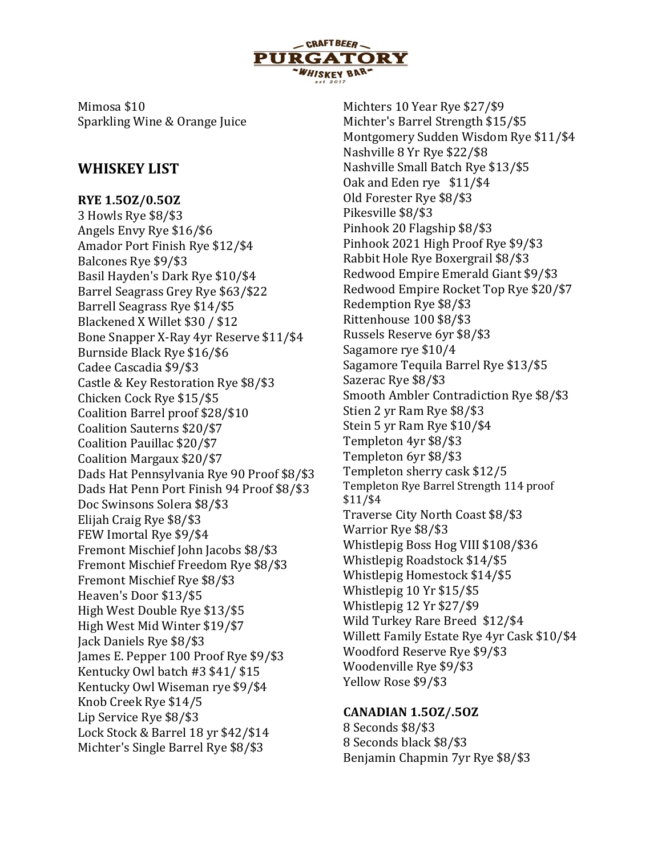

Mimosa \$10 Sparkling Wine & Orange Juice

# WHISKEY LIST

RYE 1.5OZ/0.5OZ 3 Howls Rye \$8/\$3 Angels Envy Rye \$16/\$6 Amador Port Finish Rye \$12/\$4 Balcones Rye \$9/\$3 Basil Hayden's Dark Rye \$10/\$4 Barrel Seagrass Grey Rye \$63/\$22 Barrell Seagrass Rye \$14/\$5 Blackened X Willet \$30 / \$12 Bone Snapper X-Ray 4yr Reserve \$11/\$4 Burnside Black Rye \$16/\$6 Cadee Cascadia \$9/\$3 Castle & Key Restoration Rye \$8/\$3 Chicken Cock Rye \$15/\$5 Coalition Barrel proof \$28/\$10 Coalition Sauterns \$20/\$7 Coalition Pauillac \$20/\$7 Coalition Margaux \$20/\$7 Dads Hat Pennsylvania Rye 90 Proof \$8/\$3 Dads Hat Penn Port Finish 94 Proof \$8/\$3 Doc Swinsons Solera \$8/\$3 Elijah Craig Rye \$8/\$3 FEW Imortal Rye \$9/\$4 Fremont Mischief John Jacobs \$8/\$3 Fremont Mischief Freedom Rye \$8/\$3 Fremont Mischief Rye \$8/\$3 Heaven's Door \$13/\$5 High West Double Rye \$13/\$5 High West Mid Winter \$19/\$7 Jack Daniels Rye \$8/\$3 James E. Pepper 100 Proof Rye \$9/\$3 Kentucky Owl batch #3 \$41/ \$15 Kentucky Owl Wiseman rye \$9/\$4 Knob Creek Rye \$14/5 Lip Service Rye \$8/\$3 Lock Stock & Barrel 18 yr \$42/\$14 Michter's Single Barrel Rye \$8/\$3

Michters 10 Year Rye \$27/\$9 Michter's Barrel Strength \$15/\$5 Montgomery Sudden Wisdom Rye \$11/\$4 Nashville 8 Yr Rye \$22/\$8 Nashville Small Batch Rye \$13/\$5 Oak and Eden rye \$11/\$4 Old Forester Rye \$8/\$3 Pikesville \$8/\$3 Pinhook 20 Flagship \$8/\$3 Pinhook 2021 High Proof Rye \$9/\$3 Rabbit Hole Rye Boxergrail \$8/\$3 Redwood Empire Emerald Giant \$9/\$3 Redwood Empire Rocket Top Rye \$20/\$7 Redemption Rye \$8/\$3 Rittenhouse 100 \$8/\$3 Russels Reserve 6yr \$8/\$3 Sagamore rye \$10/4 Sagamore Tequila Barrel Rye \$13/\$5 Sazerac Rye \$8/\$3 Smooth Ambler Contradiction Rye \$8/\$3 Stien 2 yr Ram Rye \$8/\$3 Stein 5 yr Ram Rye \$10/\$4 Templeton 4yr \$8/\$3 Templeton 6yr \$8/\$3 Templeton sherry cask \$12/5 Templeton Rye Barrel Strength 114 proof \$11/\$4 Traverse City North Coast \$8/\$3 Warrior Rye \$8/\$3 Whistlepig Boss Hog VIII \$108/\$36 Whistlepig Roadstock \$14/\$5 Whistlepig Homestock \$14/\$5 Whistlepig 10 Yr \$15/\$5 Whistlepig 12 Yr \$27/\$9 Wild Turkey Rare Breed \$12/\$4 Willett Family Estate Rye 4yr Cask \$10/\$4 Woodford Reserve Rye \$9/\$3 Woodenville Rye \$9/\$3 Yellow Rose \$9/\$3

## CANADIAN 1.5OZ/.5OZ

8 Seconds \$8/\$3 8 Seconds black \$8/\$3 Benjamin Chapmin 7yr Rye \$8/\$3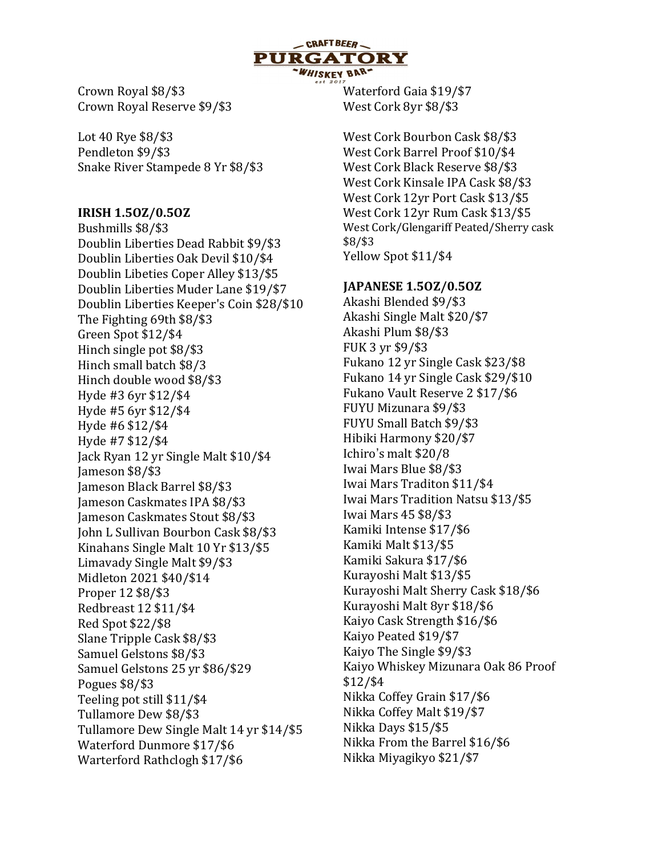

Crown Royal \$8/\$3 Crown Royal Reserve \$9/\$3

Lot 40 Rye \$8/\$3 Pendleton \$9/\$3 Snake River Stampede 8 Yr \$8/\$3

#### IRISH 1.5OZ/0.5OZ

Bushmills \$8/\$3 Doublin Liberties Dead Rabbit \$9/\$3 Doublin Liberties Oak Devil \$10/\$4 Doublin Libeties Coper Alley \$13/\$5 Doublin Liberties Muder Lane \$19/\$7 Doublin Liberties Keeper's Coin \$28/\$10 The Fighting 69th \$8/\$3 Green Spot \$12/\$4 Hinch single pot \$8/\$3 Hinch small batch \$8/3 Hinch double wood \$8/\$3 Hyde #3 6yr \$12/\$4 Hyde #5 6yr \$12/\$4 Hyde #6 \$12/\$4 Hyde #7 \$12/\$4 Jack Ryan 12 yr Single Malt \$10/\$4 Jameson \$8/\$3 Jameson Black Barrel \$8/\$3 Jameson Caskmates IPA \$8/\$3 Jameson Caskmates Stout \$8/\$3 John L Sullivan Bourbon Cask \$8/\$3 Kinahans Single Malt 10 Yr \$13/\$5 Limavady Single Malt \$9/\$3 Midleton 2021 \$40/\$14 Proper 12 \$8/\$3 Redbreast 12 \$11/\$4 Red Spot \$22/\$8 Slane Tripple Cask \$8/\$3 Samuel Gelstons \$8/\$3 Samuel Gelstons 25 yr \$86/\$29 Pogues \$8/\$3 Teeling pot still \$11/\$4 Tullamore Dew \$8/\$3 Tullamore Dew Single Malt 14 yr \$14/\$5 Waterford Dunmore \$17/\$6 Warterford Rathclogh \$17/\$6

Waterford Gaia \$19/\$7 West Cork 8yr \$8/\$3

West Cork Bourbon Cask \$8/\$3 West Cork Barrel Proof \$10/\$4 West Cork Black Reserve \$8/\$3 West Cork Kinsale IPA Cask \$8/\$3 West Cork 12yr Port Cask \$13/\$5 West Cork 12yr Rum Cask \$13/\$5 West Cork/Glengariff Peated/Sherry cask \$8/\$3 Yellow Spot \$11/\$4

## JAPANESE 1.5OZ/0.5OZ

Akashi Blended \$9/\$3 Akashi Single Malt \$20/\$7 Akashi Plum \$8/\$3 FUK 3 yr \$9/\$3 Fukano 12 yr Single Cask \$23/\$8 Fukano 14 yr Single Cask \$29/\$10 Fukano Vault Reserve 2 \$17/\$6 FUYU Mizunara \$9/\$3 FUYU Small Batch \$9/\$3 Hibiki Harmony \$20/\$7 Ichiro's malt \$20/8 Iwai Mars Blue \$8/\$3 Iwai Mars Traditon \$11/\$4 Iwai Mars Tradition Natsu \$13/\$5 Iwai Mars 45 \$8/\$3 Kamiki Intense \$17/\$6 Kamiki Malt \$13/\$5 Kamiki Sakura \$17/\$6 Kurayoshi Malt \$13/\$5 Kurayoshi Malt Sherry Cask \$18/\$6 Kurayoshi Malt 8yr \$18/\$6 Kaiyo Cask Strength \$16/\$6 Kaiyo Peated \$19/\$7 Kaiyo The Single \$9/\$3 Kaiyo Whiskey Mizunara Oak 86 Proof \$12/\$4 Nikka Coffey Grain \$17/\$6 Nikka Coffey Malt \$19/\$7 Nikka Days \$15/\$5 Nikka From the Barrel \$16/\$6 Nikka Miyagikyo \$21/\$7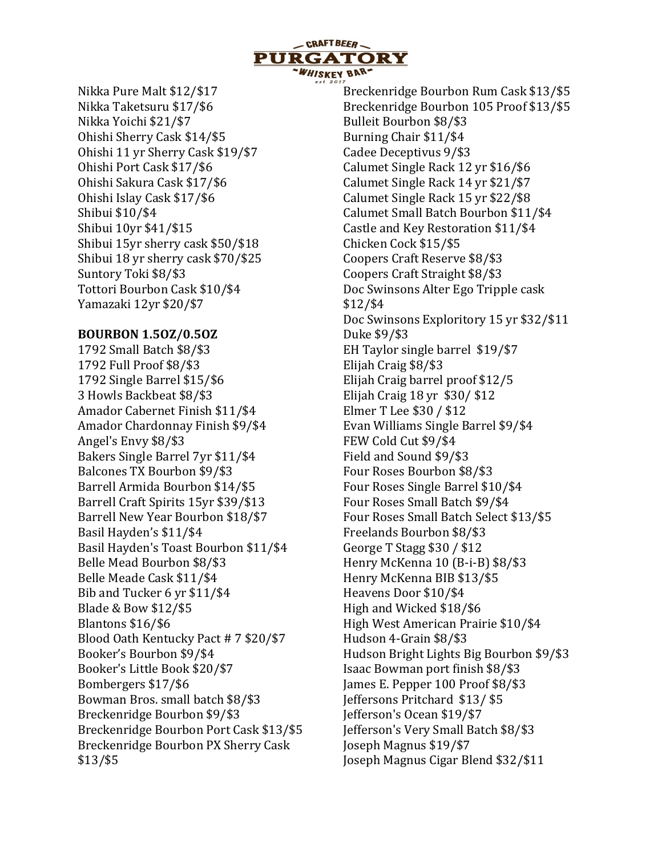

Nikka Pure Malt \$12/\$17 Nikka Taketsuru \$17/\$6 Nikka Yoichi \$21/\$7 Ohishi Sherry Cask \$14/\$5 Ohishi 11 yr Sherry Cask \$19/\$7 Ohishi Port Cask \$17/\$6 Ohishi Sakura Cask \$17/\$6 Ohishi Islay Cask \$17/\$6 Shibui \$10/\$4 Shibui 10yr \$41/\$15 Shibui 15yr sherry cask \$50/\$18 Shibui 18 yr sherry cask \$70/\$25 Suntory Toki \$8/\$3 Tottori Bourbon Cask \$10/\$4 Yamazaki 12yr \$20/\$7

#### BOURBON 1.5OZ/0.5OZ

1792 Small Batch \$8/\$3 1792 Full Proof \$8/\$3 1792 Single Barrel \$15/\$6 3 Howls Backbeat \$8/\$3 Amador Cabernet Finish \$11/\$4 Amador Chardonnay Finish \$9/\$4 Angel's Envy \$8/\$3 Bakers Single Barrel 7yr \$11/\$4 Balcones TX Bourbon \$9/\$3 Barrell Armida Bourbon \$14/\$5 Barrell Craft Spirits 15yr \$39/\$13 Barrell New Year Bourbon \$18/\$7 Basil Hayden's \$11/\$4 Basil Hayden's Toast Bourbon \$11/\$4 Belle Mead Bourbon \$8/\$3 Belle Meade Cask \$11/\$4 Bib and Tucker 6 yr \$11/\$4 Blade & Bow \$12/\$5 Blantons \$16/\$6 Blood Oath Kentucky Pact # 7 \$20/\$7 Booker's Bourbon \$9/\$4 Booker's Little Book \$20/\$7 Bombergers \$17/\$6 Bowman Bros. small batch \$8/\$3 Breckenridge Bourbon \$9/\$3 Breckenridge Bourbon Port Cask \$13/\$5 Breckenridge Bourbon PX Sherry Cask \$13/\$5

Breckenridge Bourbon Rum Cask \$13/\$5 Breckenridge Bourbon 105 Proof \$13/\$5 Bulleit Bourbon \$8/\$3 Burning Chair \$11/\$4 Cadee Deceptivus 9/\$3 Calumet Single Rack 12 yr \$16/\$6 Calumet Single Rack 14 yr \$21/\$7 Calumet Single Rack 15 yr \$22/\$8 Calumet Small Batch Bourbon \$11/\$4 Castle and Key Restoration \$11/\$4 Chicken Cock \$15/\$5 Coopers Craft Reserve \$8/\$3 Coopers Craft Straight \$8/\$3 Doc Swinsons Alter Ego Tripple cask \$12/\$4 Doc Swinsons Exploritory 15 yr \$32/\$11 Duke \$9/\$3 EH Taylor single barrel \$19/\$7 Elijah Craig \$8/\$3 Elijah Craig barrel proof \$12/5 Elijah Craig 18 yr \$30/ \$12 Elmer T Lee \$30 / \$12 Evan Williams Single Barrel \$9/\$4 FEW Cold Cut \$9/\$4 Field and Sound \$9/\$3 Four Roses Bourbon \$8/\$3 Four Roses Single Barrel \$10/\$4 Four Roses Small Batch \$9/\$4 Four Roses Small Batch Select \$13/\$5 Freelands Bourbon \$8/\$3 George T Stagg \$30 / \$12 Henry McKenna 10 (B-i-B) \$8/\$3 Henry McKenna BIB \$13/\$5 Heavens Door \$10/\$4 High and Wicked \$18/\$6 High West American Prairie \$10/\$4 Hudson 4-Grain \$8/\$3 Hudson Bright Lights Big Bourbon \$9/\$3 Isaac Bowman port finish \$8/\$3 James E. Pepper 100 Proof \$8/\$3 Jeffersons Pritchard \$13/ \$5 Jefferson's Ocean \$19/\$7 Jefferson's Very Small Batch \$8/\$3 Joseph Magnus \$19/\$7 Joseph Magnus Cigar Blend \$32/\$11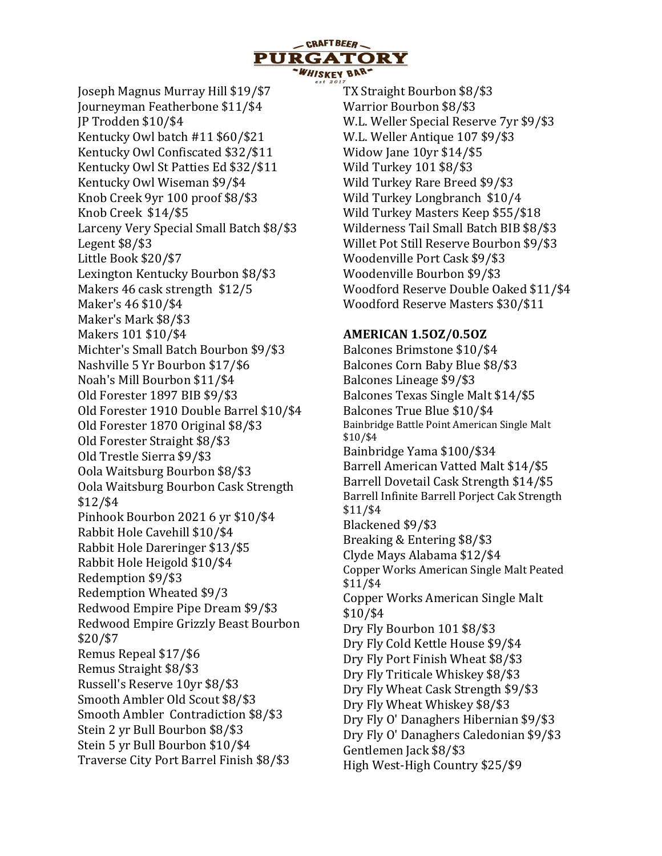

Joseph Magnus Murray Hill \$19/\$7 Journeyman Featherbone \$11/\$4 JP Trodden \$10/\$4 Kentucky Owl batch #11 \$60/\$21 Kentucky Owl Confiscated \$32/\$11 Kentucky Owl St Patties Ed \$32/\$11 Kentucky Owl Wiseman \$9/\$4 Knob Creek 9yr 100 proof \$8/\$3 Knob Creek \$14/\$5 Larceny Very Special Small Batch \$8/\$3 Legent \$8/\$3 Little Book \$20/\$7 Lexington Kentucky Bourbon \$8/\$3 Makers 46 cask strength \$12/5 Maker's 46 \$10/\$4 Maker's Mark \$8/\$3 Makers 101 \$10/\$4 Michter's Small Batch Bourbon \$9/\$3 Nashville 5 Yr Bourbon \$17/\$6 Noah's Mill Bourbon \$11/\$4 Old Forester 1897 BIB \$9/\$3 Old Forester 1910 Double Barrel \$10/\$4 Old Forester 1870 Original \$8/\$3 Old Forester Straight \$8/\$3 Old Trestle Sierra \$9/\$3 Oola Waitsburg Bourbon \$8/\$3 Oola Waitsburg Bourbon Cask Strength \$12/\$4 Pinhook Bourbon 2021 6 yr \$10/\$4 Rabbit Hole Cavehill \$10/\$4 Rabbit Hole Dareringer \$13/\$5 Rabbit Hole Heigold \$10/\$4 Redemption \$9/\$3 Redemption Wheated \$9/3 Redwood Empire Pipe Dream \$9/\$3 Redwood Empire Grizzly Beast Bourbon \$20/\$7 Remus Repeal \$17/\$6 Remus Straight \$8/\$3 Russell's Reserve 10yr \$8/\$3 Smooth Ambler Old Scout \$8/\$3 Smooth Ambler Contradiction \$8/\$3 Stein 2 yr Bull Bourbon \$8/\$3 Stein 5 yr Bull Bourbon \$10/\$4 Traverse City Port Barrel Finish \$8/\$3

TX Straight Bourbon \$8/\$3 Warrior Bourbon \$8/\$3 W.L. Weller Special Reserve 7yr \$9/\$3 W.L. Weller Antique 107 \$9/\$3 Widow Jane 10yr \$14/\$5 Wild Turkey 101 \$8/\$3 Wild Turkey Rare Breed \$9/\$3 Wild Turkey Longbranch \$10/4 Wild Turkey Masters Keep \$55/\$18 Wilderness Tail Small Batch BIB \$8/\$3 Willet Pot Still Reserve Bourbon \$9/\$3 Woodenville Port Cask \$9/\$3 Woodenville Bourbon \$9/\$3 Woodford Reserve Double Oaked \$11/\$4 Woodford Reserve Masters \$30/\$11

#### AMERICAN 1.5OZ/0.5OZ

Balcones Brimstone \$10/\$4 Balcones Corn Baby Blue \$8/\$3 Balcones Lineage \$9/\$3 Balcones Texas Single Malt \$14/\$5 Balcones True Blue \$10/\$4 Bainbridge Battle Point American Single Malt \$10/\$4 Bainbridge Yama \$100/\$34 Barrell American Vatted Malt \$14/\$5 Barrell Dovetail Cask Strength \$14/\$5 Barrell Infinite Barrell Porject Cak Strength \$11/\$4 Blackened \$9/\$3 Breaking & Entering \$8/\$3 Clyde Mays Alabama \$12/\$4 Copper Works American Single Malt Peated \$11/\$4 Copper Works American Single Malt \$10/\$4 Dry Fly Bourbon 101 \$8/\$3 Dry Fly Cold Kettle House \$9/\$4 Dry Fly Port Finish Wheat \$8/\$3 Dry Fly Triticale Whiskey \$8/\$3 Dry Fly Wheat Cask Strength \$9/\$3 Dry Fly Wheat Whiskey \$8/\$3 Dry Fly O' Danaghers Hibernian \$9/\$3 Dry Fly O' Danaghers Caledonian \$9/\$3 Gentlemen Jack \$8/\$3 High West-High Country \$25/\$9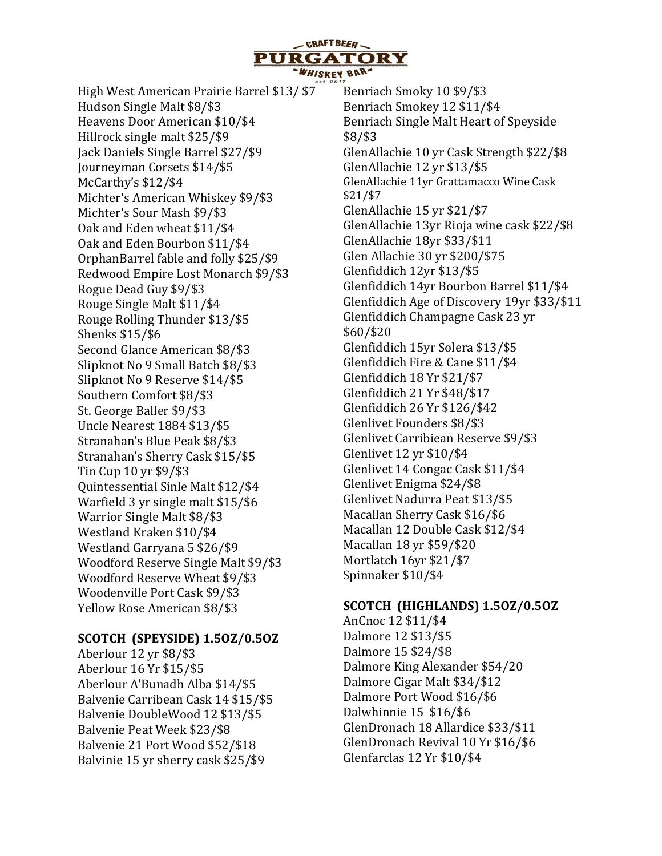- CRAFT BEER **PURGATORY** WHISKEY BAR-

High West American Prairie Barrel \$13/ \$7 Hudson Single Malt \$8/\$3 Heavens Door American \$10/\$4 Hillrock single malt \$25/\$9 Jack Daniels Single Barrel \$27/\$9 Journeyman Corsets \$14/\$5 McCarthy's \$12/\$4 Michter's American Whiskey \$9/\$3 Michter's Sour Mash \$9/\$3 Oak and Eden wheat \$11/\$4 Oak and Eden Bourbon \$11/\$4 OrphanBarrel fable and folly \$25/\$9 Redwood Empire Lost Monarch \$9/\$3 Rogue Dead Guy \$9/\$3 Rouge Single Malt \$11/\$4 Rouge Rolling Thunder \$13/\$5 Shenks \$15/\$6 Second Glance American \$8/\$3 Slipknot No 9 Small Batch \$8/\$3 Slipknot No 9 Reserve \$14/\$5 Southern Comfort \$8/\$3 St. George Baller \$9/\$3 Uncle Nearest 1884 \$13/\$5 Stranahan's Blue Peak \$8/\$3 Stranahan's Sherry Cask \$15/\$5 Tin Cup 10 yr \$9/\$3 Quintessential Sinle Malt \$12/\$4 Warfield 3 yr single malt \$15/\$6 Warrior Single Malt \$8/\$3 Westland Kraken \$10/\$4 Westland Garryana 5 \$26/\$9 Woodford Reserve Single Malt \$9/\$3 Woodford Reserve Wheat \$9/\$3 Woodenville Port Cask \$9/\$3 Yellow Rose American \$8/\$3

## SCOTCH (SPEYSIDE) 1.5OZ/0.5OZ

Aberlour 12 yr \$8/\$3 Aberlour 16 Yr \$15/\$5 Aberlour A'Bunadh Alba \$14/\$5 Balvenie Carribean Cask 14 \$15/\$5 Balvenie DoubleWood 12 \$13/\$5 Balvenie Peat Week \$23/\$8 Balvenie 21 Port Wood \$52/\$18 Balvinie 15 yr sherry cask \$25/\$9

Benriach Smoky 10 \$9/\$3 Benriach Smokey 12 \$11/\$4 Benriach Single Malt Heart of Speyside \$8/\$3 GlenAllachie 10 yr Cask Strength \$22/\$8 GlenAllachie 12 yr \$13/\$5 GlenAllachie 11yr Grattamacco Wine Cask \$21/\$7 GlenAllachie 15 yr \$21/\$7 GlenAllachie 13yr Rioja wine cask \$22/\$8 GlenAllachie 18yr \$33/\$11 Glen Allachie 30 yr \$200/\$75 Glenfiddich 12yr \$13/\$5 Glenfiddich 14yr Bourbon Barrel \$11/\$4 Glenfiddich Age of Discovery 19yr \$33/\$11 Glenfiddich Champagne Cask 23 yr \$60/\$20 Glenfiddich 15yr Solera \$13/\$5 Glenfiddich Fire & Cane \$11/\$4 Glenfiddich 18 Yr \$21/\$7 Glenfiddich 21 Yr \$48/\$17 Glenfiddich 26 Yr \$126/\$42 Glenlivet Founders \$8/\$3 Glenlivet Carribiean Reserve \$9/\$3 Glenlivet 12 yr \$10/\$4 Glenlivet 14 Congac Cask \$11/\$4 Glenlivet Enigma \$24/\$8 Glenlivet Nadurra Peat \$13/\$5 Macallan Sherry Cask \$16/\$6 Macallan 12 Double Cask \$12/\$4 Macallan 18 yr \$59/\$20 Mortlatch 16yr \$21/\$7 Spinnaker \$10/\$4

## SCOTCH (HIGHLANDS) 1.5OZ/0.5OZ

AnCnoc 12 \$11/\$4 Dalmore 12 \$13/\$5 Dalmore 15 \$24/\$8 Dalmore King Alexander \$54/20 Dalmore Cigar Malt \$34/\$12 Dalmore Port Wood \$16/\$6 Dalwhinnie 15 \$16/\$6 GlenDronach 18 Allardice \$33/\$11 GlenDronach Revival 10 Yr \$16/\$6 Glenfarclas 12 Yr \$10/\$4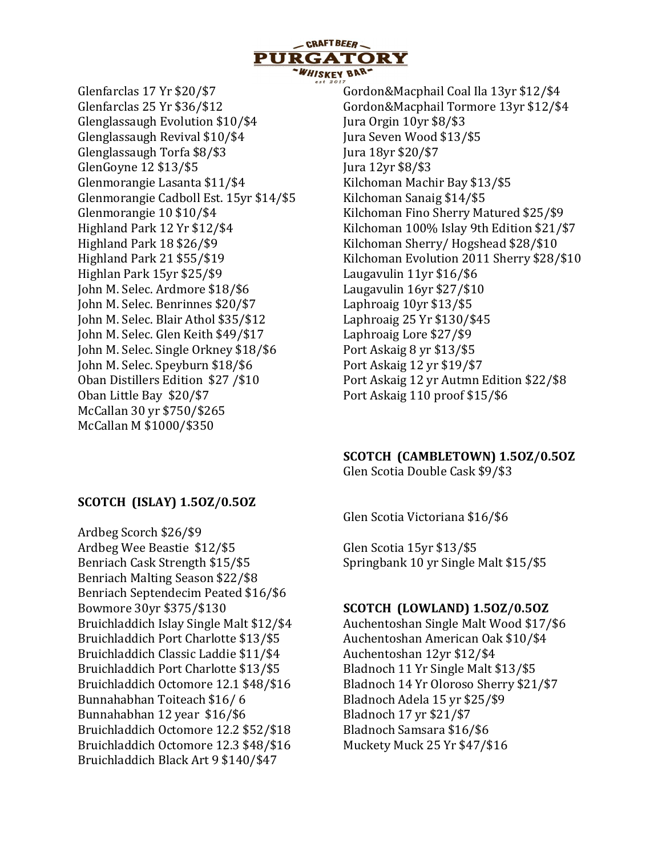

Glenfarclas 17 Yr \$20/\$7 Glenfarclas 25 Yr \$36/\$12 Glenglassaugh Evolution \$10/\$4 Glenglassaugh Revival \$10/\$4 Glenglassaugh Torfa \$8/\$3 GlenGoyne 12 \$13/\$5 Glenmorangie Lasanta \$11/\$4 Glenmorangie Cadboll Est. 15yr \$14/\$5 Glenmorangie 10 \$10/\$4 Highland Park 12 Yr \$12/\$4 Highland Park 18 \$26/\$9 Highland Park 21 \$55/\$19 Highlan Park 15yr \$25/\$9 John M. Selec. Ardmore \$18/\$6 John M. Selec. Benrinnes \$20/\$7 John M. Selec. Blair Athol \$35/\$12 John M. Selec. Glen Keith \$49/\$17 John M. Selec. Single Orkney \$18/\$6 John M. Selec. Speyburn \$18/\$6 Oban Distillers Edition \$27 /\$10 Oban Little Bay \$20/\$7 McCallan 30 yr \$750/\$265 McCallan M \$1000/\$350

Gordon&Macphail Coal Ila 13yr \$12/\$4 Gordon&Macphail Tormore 13yr \$12/\$4 Jura Orgin 10yr \$8/\$3 Jura Seven Wood \$13/\$5 Jura 18yr \$20/\$7 Jura 12yr \$8/\$3 Kilchoman Machir Bay \$13/\$5 Kilchoman Sanaig \$14/\$5 Kilchoman Fino Sherry Matured \$25/\$9 Kilchoman 100% Islay 9th Edition \$21/\$7 Kilchoman Sherry/ Hogshead \$28/\$10 Kilchoman Evolution 2011 Sherry \$28/\$10 Laugavulin 11yr \$16/\$6 Laugavulin 16yr \$27/\$10 Laphroaig 10yr \$13/\$5 Laphroaig 25 Yr \$130/\$45 Laphroaig Lore \$27/\$9 Port Askaig 8 yr \$13/\$5 Port Askaig 12 yr \$19/\$7 Port Askaig 12 yr Autmn Edition \$22/\$8 Port Askaig 110 proof \$15/\$6

#### SCOTCH (CAMBLETOWN) 1.5OZ/0.5OZ

Glen Scotia Double Cask \$9/\$3

Glen Scotia Victoriana \$16/\$6

Glen Scotia 15yr \$13/\$5 Springbank 10 yr Single Malt \$15/\$5

#### SCOTCH (LOWLAND) 1.5OZ/0.5OZ

Auchentoshan Single Malt Wood \$17/\$6 Auchentoshan American Oak \$10/\$4 Auchentoshan 12yr \$12/\$4 Bladnoch 11 Yr Single Malt \$13/\$5 Bladnoch 14 Yr Oloroso Sherry \$21/\$7 Bladnoch Adela 15 yr \$25/\$9 Bladnoch 17 yr \$21/\$7 Bladnoch Samsara \$16/\$6 Muckety Muck 25 Yr \$47/\$16

## SCOTCH (ISLAY) 1.5OZ/0.5OZ

Ardbeg Scorch \$26/\$9 Ardbeg Wee Beastie \$12/\$5 Benriach Cask Strength \$15/\$5 Benriach Malting Season \$22/\$8 Benriach Septendecim Peated \$16/\$6 Bowmore 30yr \$375/\$130 Bruichladdich Islay Single Malt \$12/\$4 Bruichladdich Port Charlotte \$13/\$5 Bruichladdich Classic Laddie \$11/\$4 Bruichladdich Port Charlotte \$13/\$5 Bruichladdich Octomore 12.1 \$48/\$16 Bunnahabhan Toiteach \$16/ 6 Bunnahabhan 12 year \$16/\$6 Bruichladdich Octomore 12.2 \$52/\$18 Bruichladdich Octomore 12.3 \$48/\$16 Bruichladdich Black Art 9 \$140/\$47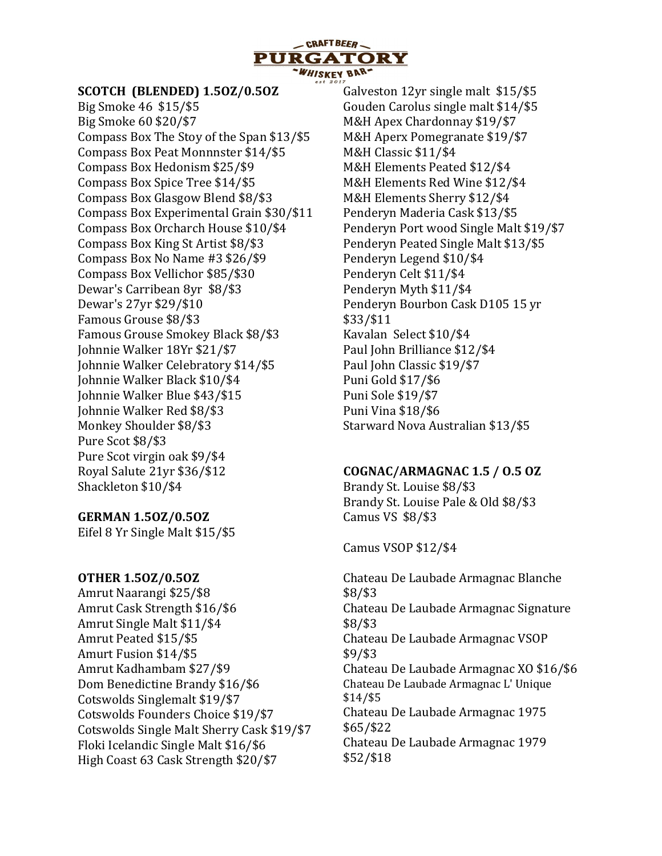

#### SCOTCH (BLENDED) 1.5OZ/0.5OZ

Big Smoke 46 \$15/\$5 Big Smoke 60 \$20/\$7 Compass Box The Stoy of the Span \$13/\$5 Compass Box Peat Monnnster \$14/\$5 Compass Box Hedonism \$25/\$9 Compass Box Spice Tree \$14/\$5 Compass Box Glasgow Blend \$8/\$3 Compass Box Experimental Grain \$30/\$11 Compass Box Orcharch House \$10/\$4 Compass Box King St Artist \$8/\$3 Compass Box No Name #3 \$26/\$9 Compass Box Vellichor \$85/\$30 Dewar's Carribean 8yr \$8/\$3 Dewar's 27yr \$29/\$10 Famous Grouse \$8/\$3 Famous Grouse Smokey Black \$8/\$3 Johnnie Walker 18Yr \$21/\$7 Johnnie Walker Celebratory \$14/\$5 Johnnie Walker Black \$10/\$4 Johnnie Walker Blue \$43/\$15 Johnnie Walker Red \$8/\$3 Monkey Shoulder \$8/\$3 Pure Scot \$8/\$3 Pure Scot virgin oak \$9/\$4 Royal Salute 21yr \$36/\$12 Shackleton \$10/\$4

#### GERMAN 1.5OZ/0.5OZ

Eifel 8 Yr Single Malt \$15/\$5

#### OTHER 1.5OZ/0.5OZ

Amrut Naarangi \$25/\$8 Amrut Cask Strength \$16/\$6 Amrut Single Malt \$11/\$4 Amrut Peated \$15/\$5 Amurt Fusion \$14/\$5 Amrut Kadhambam \$27/\$9 Dom Benedictine Brandy \$16/\$6 Cotswolds Singlemalt \$19/\$7 Cotswolds Founders Choice \$19/\$7 Cotswolds Single Malt Sherry Cask \$19/\$7 Floki Icelandic Single Malt \$16/\$6 High Coast 63 Cask Strength \$20/\$7

Galveston 12yr single malt \$15/\$5 Gouden Carolus single malt \$14/\$5 M&H Apex Chardonnay \$19/\$7 M&H Aperx Pomegranate \$19/\$7 M&H Classic \$11/\$4 M&H Elements Peated \$12/\$4 M&H Elements Red Wine \$12/\$4 M&H Elements Sherry \$12/\$4 Penderyn Maderia Cask \$13/\$5 Penderyn Port wood Single Malt \$19/\$7 Penderyn Peated Single Malt \$13/\$5 Penderyn Legend \$10/\$4 Penderyn Celt \$11/\$4 Penderyn Myth \$11/\$4 Penderyn Bourbon Cask D105 15 yr \$33/\$11 Kavalan Select \$10/\$4 Paul John Brilliance \$12/\$4 Paul John Classic \$19/\$7 Puni Gold \$17/\$6 Puni Sole \$19/\$7 Puni Vina \$18/\$6 Starward Nova Australian \$13/\$5

#### COGNAC/ARMAGNAC 1.5 / O.5 OZ

Brandy St. Louise \$8/\$3 Brandy St. Louise Pale & Old \$8/\$3 Camus VS \$8/\$3

Camus VSOP \$12/\$4

Chateau De Laubade Armagnac Blanche \$8/\$3 Chateau De Laubade Armagnac Signature \$8/\$3 Chateau De Laubade Armagnac VSOP \$9/\$3 Chateau De Laubade Armagnac XO \$16/\$6 Chateau De Laubade Armagnac L' Unique \$14/\$5 Chateau De Laubade Armagnac 1975 \$65/\$22 Chateau De Laubade Armagnac 1979 \$52/\$18